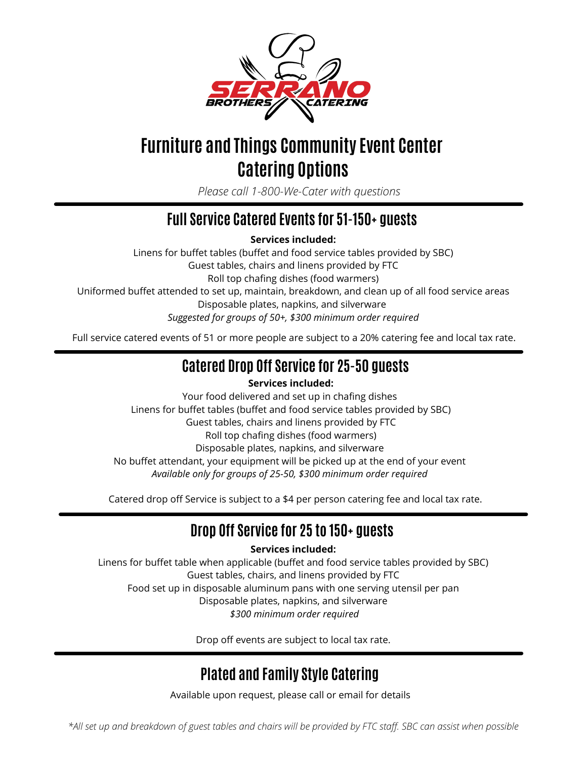

# **Furniture and Things Community Event Center Catering Options**

*Please call 1-800-We-Cater with questions*

### **Full Service Catered Events for 51-150+ guests**

**Services included:**

Linens for buffet tables (buffet and food service tables provided by SBC) Guest tables, chairs and linens provided by FTC Roll top chafing dishes (food warmers) Uniformed buffet attended to set up, maintain, breakdown, and clean up of all food service areas Disposable plates, napkins, and silverware *Suggested for groups of 50+, \$300 minimum order required*

Full service catered events of 51 or more people are subject to a 20% catering fee and local tax rate.

### **Catered Drop Off Service for 25-50 guests**

### **Services included:**

Your food delivered and set up in chafing dishes Linens for buffet tables (buffet and food service tables provided by SBC) Guest tables, chairs and linens provided by FTC Roll top chafing dishes (food warmers) Disposable plates, napkins, and silverware No buffet attendant, your equipment will be picked up at the end of your event *Available only for groups of 25-50, \$300 minimum order required*

Catered drop off Service is subject to a \$4 per person catering fee and local tax rate.

### **Drop Off Service for 25 to 150+ guests**

**Services included:**

Linens for buffet table when applicable (buffet and food service tables provided by SBC) Guest tables, chairs, and linens provided by FTC Food set up in disposable aluminum pans with one serving utensil per pan Disposable plates, napkins, and silverware *\$300 minimum order required*

Drop off events are subject to local tax rate.

### **Plated and Family Style Catering**

Available upon request, please call or email for details

\*All set up and breakdown of guest tables and chairs will be provided by FTC staff. SBC can assist when possible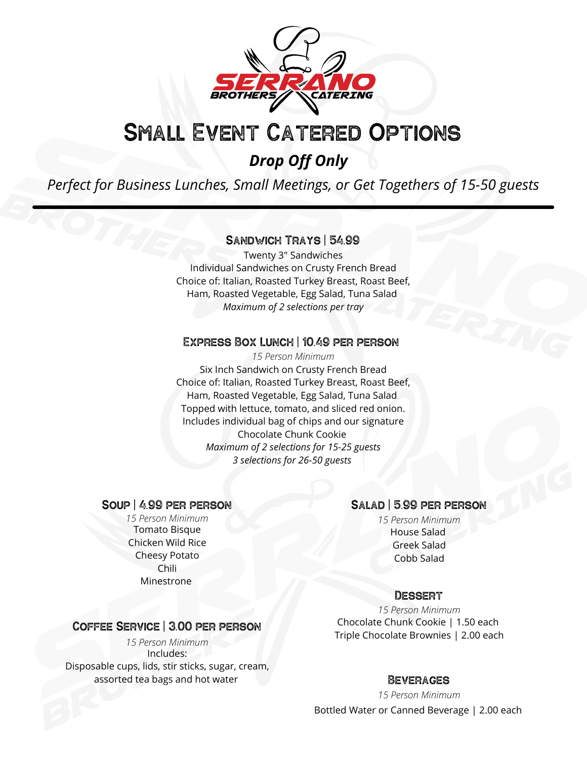

# Small Event Catered Options

### *Drop Off Only*

*Perfect for Business Lunches, Small Meetings, or Get Togethers of 15-50 guests*

### Sandwich Trays | 54.99

Twenty 3" Sandwiches Individual Sandwiches on Crusty French Bread Choice of: Italian, Roasted Turkey Breast, Roast Beef, Ham, Roasted Vegetable, Egg Salad, Tuna Salad *Maximum of 2 selections per tray*

### Express Box Lunch | 10.49 per person

Six Inch Sandwich on Crusty French Bread Choice of: Italian, Roasted Turkey Breast, Roast Beef, Ham, Roasted Vegetable, Egg Salad, Tuna Salad Topped with lettuce, tomato, and sliced red onion. Includes individual bag of chips and our signature Chocolate Chunk Cookie *Maximum of 2 selections for 15-25 guests 3 selections for 26-50 guests 15 Person Minimum*

# **SOUP | 4.99 PER PERSON**<br>15 Person Minimum

Tomato Bisque Chicken Wild Rice Cheesy Potato Chili Minestrone

### Salad | 5.99 per person

House Salad Greek Salad Cobb Salad *15 Person Minimum 15 Person Minimum*

### **DESSERT**

Chocolate Chunk Cookie | 1.50 each Triple Chocolate Brownies | 2.00 each *15 Person Minimum*

### Beverages

Bottled Water or Canned Beverage | 2.00 each *15 Person Minimum*

# Coffee Service | 3.00 per person

Includes: Disposable cups, lids, stir sticks, sugar, cream, assorted tea bags and hot water *15 Person Minimum*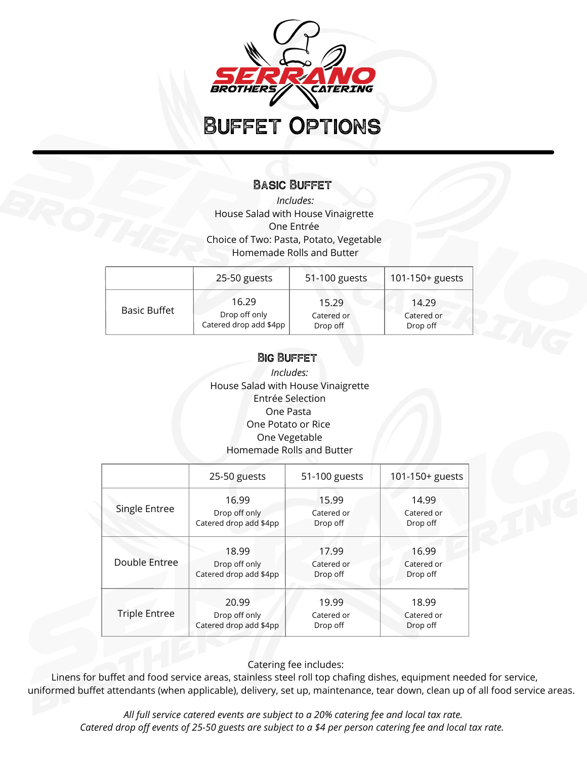

# Buffet Options

### Basic Buffet

*Includes:* House Salad with House Vinaigrette One Entrée Choice of Two: Pasta, Potato, Vegetable Homemade Rolls and Butter

|                     | 25-50 guests           | 51-100 guests | 101-150+ guests |
|---------------------|------------------------|---------------|-----------------|
| <b>Basic Buffet</b> | 16.29                  | 15.29         | 14.29           |
|                     | Drop off only          | Catered or    | Catered or      |
|                     | Catered drop add \$4pp | Drop off      | Drop off        |

### Big Buffet

*Includes:* House Salad with House Vinaigrette Entrée Selection One Pasta One Potato or Rice One Vegetable Homemade Rolls and Butter

|                      | 25-50 guests           | 51-100 guests | 101-150+ guests |
|----------------------|------------------------|---------------|-----------------|
| Single Entree        | 16.99                  | 15.99         | 14.99           |
|                      | Drop off only          | Catered or    | Catered or      |
|                      | Catered drop add \$4pp | Drop off      | Drop off        |
| Double Entree        | 18.99                  | 17.99         | 16.99           |
|                      | Drop off only          | Catered or    | Catered or      |
|                      | Catered drop add \$4pp | Drop off      | Drop off        |
| <b>Triple Entree</b> | 20.99                  | 19.99         | 18.99           |
|                      | Drop off only          | Catered or    | Catered or      |
|                      | Catered drop add \$4pp | Drop off      | Drop off        |

Catering fee includes:

Linens for buffet and food service areas, stainless steel roll top chafing dishes, equipment needed for service, uniformed buffet attendants (when applicable), delivery, set up, maintenance, tear down, clean up of all food service areas.

*All full service catered events are subject to a 20% catering fee and local tax rate.* Catered drop off events of 25-50 guests are subject to a \$4 per person catering fee and local tax rate.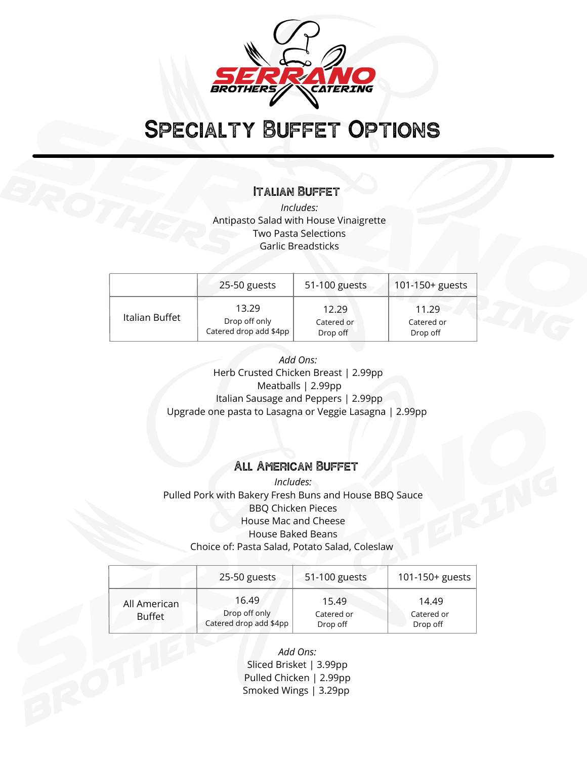

# Specialty Buffet Options

### Italian Buffet

*Includes:* Antipasto Salad with House Vinaigrette Two Pasta Selections Garlic Breadsticks

|                | 25-50 guests           | 51-100 guests | 101-150+ guests |
|----------------|------------------------|---------------|-----------------|
| Italian Buffet | 13.29                  | 12.29         | 11.29           |
|                | Drop off only          | Catered or    | Catered or      |
|                | Catered drop add \$4pp | Drop off      | Drop off        |

*Add Ons:* Herb Crusted Chicken Breast | 2.99pp Meatballs | 2.99pp Italian Sausage and Peppers | 2.99pp Upgrade one pasta to Lasagna or Veggie Lasagna | 2.99pp

### All American Buffet

*Includes:* Pulled Pork with Bakery Fresh Buns and House BBQ Sauce BBQ Chicken Pieces House Mac and Cheese House Baked Beans Choice of: Pasta Salad, Potato Salad, Coleslaw

|                               | 25-50 guests                                     | 51-100 guests                   | 101-150+ guests                 |
|-------------------------------|--------------------------------------------------|---------------------------------|---------------------------------|
| All American<br><b>Buffet</b> | 16.49<br>Drop off only<br>Catered drop add \$4pp | 15.49<br>Catered or<br>Drop off | 14.49<br>Catered or<br>Drop off |

*Add Ons:* Sliced Brisket | 3.99pp Pulled Chicken | 2.99pp Smoked Wings | 3.29pp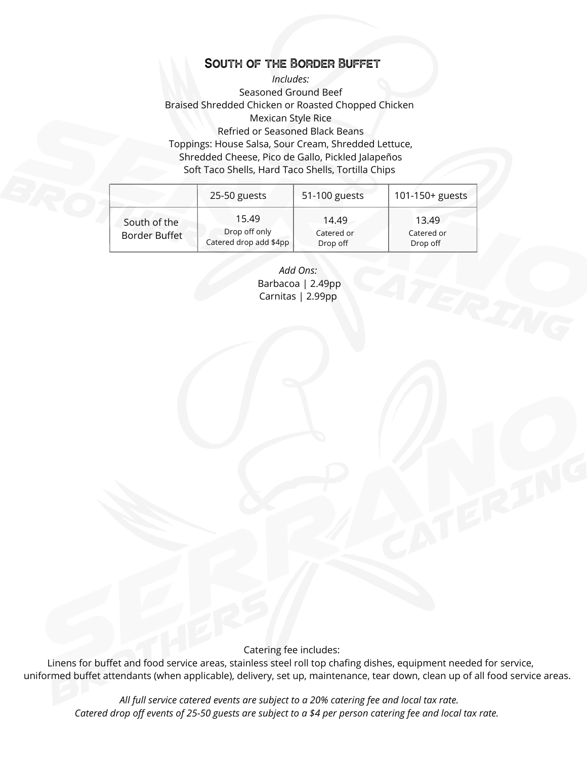### South of the Border Buffet

*Includes:* Seasoned Ground Beef Braised Shredded Chicken or Roasted Chopped Chicken Mexican Style Rice Refried or Seasoned Black Beans Toppings: House Salsa, Sour Cream, Shredded Lettuce, Shredded Cheese, Pico de Gallo, Pickled Jalapeños Soft Taco Shells, Hard Taco Shells, Tortilla Chips

|                               | 25-50 guests                                     | 51-100 guests                   | 101-150+ guests                 |
|-------------------------------|--------------------------------------------------|---------------------------------|---------------------------------|
| South of the<br>Border Buffet | 15.49<br>Drop off only<br>Catered drop add \$4pp | 14.49<br>Catered or<br>Drop off | 13.49<br>Catered or<br>Drop off |

*Add Ons:* Barbacoa | 2.49pp Carnitas | 2.99pp

Catering fee includes:

Linens for buffet and food service areas, stainless steel roll top chafing dishes, equipment needed for service, uniformed buffet attendants (when applicable), delivery, set up, maintenance, tear down, clean up of all food service areas.

*All full service catered events are subject to a 20% catering fee and local tax rate.* Catered drop off events of 25-50 guests are subject to a \$4 per person catering fee and local tax rate.